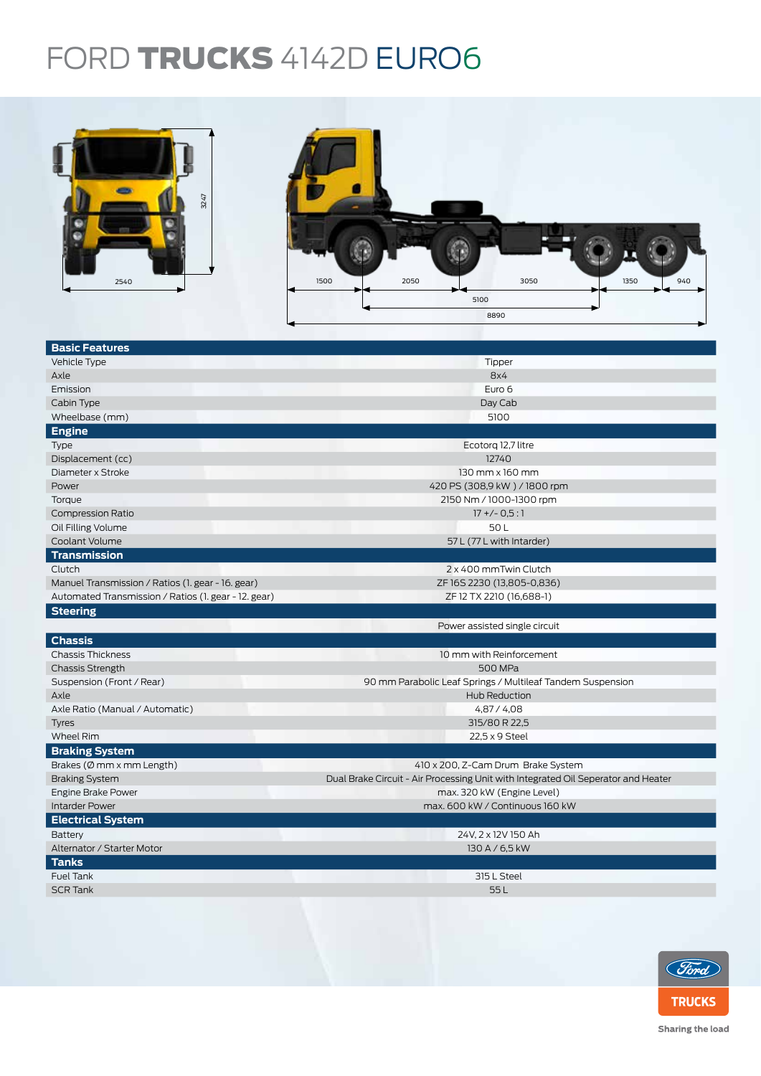## FORD TRUCKS 4142D EURO6



| 3247<br>2540                                         | 2050<br>3050<br>1350<br>1500<br>940<br>5100<br>8890                               |  |  |  |  |
|------------------------------------------------------|-----------------------------------------------------------------------------------|--|--|--|--|
|                                                      |                                                                                   |  |  |  |  |
| <b>Basic Features</b>                                |                                                                                   |  |  |  |  |
| Vehicle Type                                         | Tipper                                                                            |  |  |  |  |
| Axle                                                 | 8x4                                                                               |  |  |  |  |
| Emission                                             | Euro 6                                                                            |  |  |  |  |
| Cabin Type                                           | Day Cab                                                                           |  |  |  |  |
| Wheelbase (mm)                                       | 5100                                                                              |  |  |  |  |
| <b>Engine</b>                                        |                                                                                   |  |  |  |  |
| <b>Type</b>                                          | Ecotorq 12,7 litre                                                                |  |  |  |  |
| Displacement (cc)                                    | 12740                                                                             |  |  |  |  |
| Diameter x Stroke                                    | 130 mm x 160 mm                                                                   |  |  |  |  |
| Power                                                | 420 PS (308,9 kW) / 1800 rpm                                                      |  |  |  |  |
| Torque                                               | 2150 Nm / 1000-1300 rpm                                                           |  |  |  |  |
| <b>Compression Ratio</b>                             | $17 + (-0.5:1)$                                                                   |  |  |  |  |
| Oil Filling Volume                                   | 50L                                                                               |  |  |  |  |
| Coolant Volume                                       | 57 L (77 L with Intarder)                                                         |  |  |  |  |
| <b>Transmission</b>                                  |                                                                                   |  |  |  |  |
| Clutch                                               | 2 x 400 mmTwin Clutch                                                             |  |  |  |  |
| Manuel Transmission / Ratios (1. gear - 16. gear)    | ZF 16S 2230 (13,805-0,836)                                                        |  |  |  |  |
| Automated Transmission / Ratios (1. gear - 12. gear) | ZF 12 TX 2210 (16,688-1)                                                          |  |  |  |  |
| <b>Steering</b>                                      |                                                                                   |  |  |  |  |
|                                                      | Power assisted single circuit                                                     |  |  |  |  |
| <b>Chassis</b>                                       |                                                                                   |  |  |  |  |
| <b>Chassis Thickness</b>                             | 10 mm with Reinforcement                                                          |  |  |  |  |
| <b>Chassis Strength</b>                              | 500 MPa                                                                           |  |  |  |  |
| Suspension (Front / Rear)                            | 90 mm Parabolic Leaf Springs / Multileaf Tandem Suspension                        |  |  |  |  |
| Axle                                                 | Hub Reduction                                                                     |  |  |  |  |
| Axle Ratio (Manual / Automatic)                      | 4,87 / 4,08                                                                       |  |  |  |  |
| <b>Tyres</b>                                         | 315/80 R 22,5                                                                     |  |  |  |  |
| Wheel Rim                                            | 22,5 x 9 Steel                                                                    |  |  |  |  |
| <b>Braking System</b>                                |                                                                                   |  |  |  |  |
| Brakes (Ø mm x mm Length)                            | 410 x 200, Z-Cam Drum Brake System                                                |  |  |  |  |
| <b>Braking System</b>                                | Dual Brake Circuit - Air Processing Unit with Integrated Oil Seperator and Heater |  |  |  |  |
| <b>Engine Brake Power</b>                            | max. 320 kW (Engine Level)                                                        |  |  |  |  |
| <b>Intarder Power</b>                                | max. 600 kW / Continuous 160 kW                                                   |  |  |  |  |
| <b>Electrical System</b>                             |                                                                                   |  |  |  |  |
| Battery                                              | 24V, 2 x 12V 150 Ah                                                               |  |  |  |  |
| Alternator / Starter Motor                           | 130 A / 6,5 kW                                                                    |  |  |  |  |
| <b>Tanks</b>                                         |                                                                                   |  |  |  |  |
| Fuel Tank                                            | 315 L Steel                                                                       |  |  |  |  |
| <b>SCR Tank</b>                                      | 55L                                                                               |  |  |  |  |
|                                                      |                                                                                   |  |  |  |  |



Sharing the load